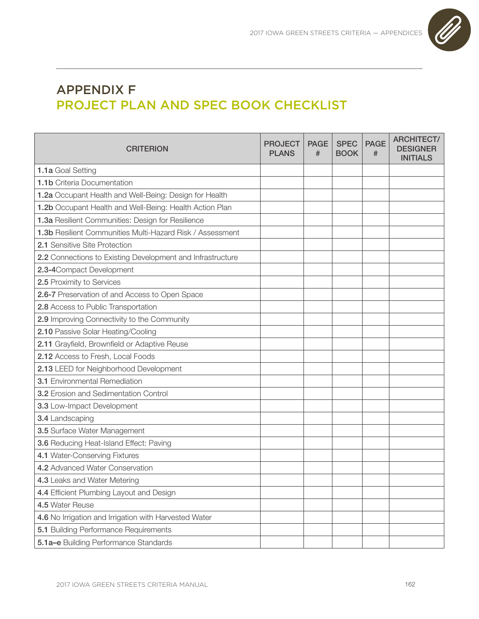

## APPENDIX F PROJECT PLAN AND SPEC BOOK CHECKLIST

| <b>CRITERION</b>                                           | <b>PROJECT</b><br><b>PLANS</b> | <b>PAGE</b><br># | <b>SPEC</b><br><b>BOOK</b> | <b>PAGE</b><br># | <b>ARCHITECT/</b><br><b>DESIGNER</b><br><b>INITIALS</b> |
|------------------------------------------------------------|--------------------------------|------------------|----------------------------|------------------|---------------------------------------------------------|
| 1.1a Goal Setting                                          |                                |                  |                            |                  |                                                         |
| 1.1b Criteria Documentation                                |                                |                  |                            |                  |                                                         |
| 1.2a Occupant Health and Well-Being: Design for Health     |                                |                  |                            |                  |                                                         |
| 1.2b Occupant Health and Well-Being: Health Action Plan    |                                |                  |                            |                  |                                                         |
| 1.3a Resilient Communities: Design for Resilience          |                                |                  |                            |                  |                                                         |
| 1.3b Resilient Communities Multi-Hazard Risk / Assessment  |                                |                  |                            |                  |                                                         |
| 2.1 Sensitive Site Protection                              |                                |                  |                            |                  |                                                         |
| 2.2 Connections to Existing Development and Infrastructure |                                |                  |                            |                  |                                                         |
| 2.3-4Compact Development                                   |                                |                  |                            |                  |                                                         |
| 2.5 Proximity to Services                                  |                                |                  |                            |                  |                                                         |
| 2.6-7 Preservation of and Access to Open Space             |                                |                  |                            |                  |                                                         |
| 2.8 Access to Public Transportation                        |                                |                  |                            |                  |                                                         |
| 2.9 Improving Connectivity to the Community                |                                |                  |                            |                  |                                                         |
| 2.10 Passive Solar Heating/Cooling                         |                                |                  |                            |                  |                                                         |
| 2.11 Grayfield, Brownfield or Adaptive Reuse               |                                |                  |                            |                  |                                                         |
| 2.12 Access to Fresh, Local Foods                          |                                |                  |                            |                  |                                                         |
| 2.13 LEED for Neighborhood Development                     |                                |                  |                            |                  |                                                         |
| 3.1 Environmental Remediation                              |                                |                  |                            |                  |                                                         |
| <b>3.2</b> Erosion and Sedimentation Control               |                                |                  |                            |                  |                                                         |
| 3.3 Low-Impact Development                                 |                                |                  |                            |                  |                                                         |
| 3.4 Landscaping                                            |                                |                  |                            |                  |                                                         |
| 3.5 Surface Water Management                               |                                |                  |                            |                  |                                                         |
| 3.6 Reducing Heat-Island Effect: Paving                    |                                |                  |                            |                  |                                                         |
| 4.1 Water-Conserving Fixtures                              |                                |                  |                            |                  |                                                         |
| 4.2 Advanced Water Conservation                            |                                |                  |                            |                  |                                                         |
| 4.3 Leaks and Water Metering                               |                                |                  |                            |                  |                                                         |
| 4.4 Efficient Plumbing Layout and Design                   |                                |                  |                            |                  |                                                         |
| 4.5 Water Reuse                                            |                                |                  |                            |                  |                                                         |
| 4.6 No Irrigation and Irrigation with Harvested Water      |                                |                  |                            |                  |                                                         |
| 5.1 Building Performance Requirements                      |                                |                  |                            |                  |                                                         |
| 5.1a-e Building Performance Standards                      |                                |                  |                            |                  |                                                         |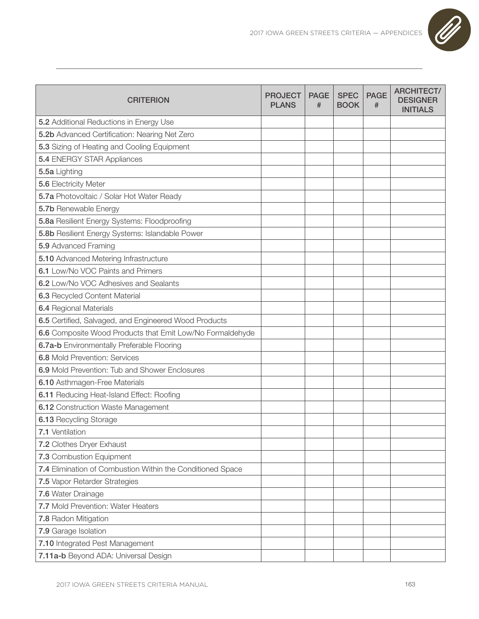

| <b>CRITERION</b>                                           | <b>PROJECT</b><br><b>PLANS</b> | <b>PAGE</b><br># | <b>SPEC</b><br><b>BOOK</b> | <b>PAGE</b><br># | <b>ARCHITECT/</b><br><b>DESIGNER</b><br><b>INITIALS</b> |
|------------------------------------------------------------|--------------------------------|------------------|----------------------------|------------------|---------------------------------------------------------|
| 5.2 Additional Reductions in Energy Use                    |                                |                  |                            |                  |                                                         |
| 5.2b Advanced Certification: Nearing Net Zero              |                                |                  |                            |                  |                                                         |
| 5.3 Sizing of Heating and Cooling Equipment                |                                |                  |                            |                  |                                                         |
| <b>5.4 ENERGY STAR Appliances</b>                          |                                |                  |                            |                  |                                                         |
| 5.5a Lighting                                              |                                |                  |                            |                  |                                                         |
| 5.6 Electricity Meter                                      |                                |                  |                            |                  |                                                         |
| 5.7a Photovoltaic / Solar Hot Water Ready                  |                                |                  |                            |                  |                                                         |
| 5.7b Renewable Energy                                      |                                |                  |                            |                  |                                                         |
| 5.8a Resilient Energy Systems: Floodproofing               |                                |                  |                            |                  |                                                         |
| 5.8b Resilient Energy Systems: Islandable Power            |                                |                  |                            |                  |                                                         |
| 5.9 Advanced Framing                                       |                                |                  |                            |                  |                                                         |
| 5.10 Advanced Metering Infrastructure                      |                                |                  |                            |                  |                                                         |
| 6.1 Low/No VOC Paints and Primers                          |                                |                  |                            |                  |                                                         |
| 6.2 Low/No VOC Adhesives and Sealants                      |                                |                  |                            |                  |                                                         |
| 6.3 Recycled Content Material                              |                                |                  |                            |                  |                                                         |
| 6.4 Regional Materials                                     |                                |                  |                            |                  |                                                         |
| 6.5 Certified, Salvaged, and Engineered Wood Products      |                                |                  |                            |                  |                                                         |
| 6.6 Composite Wood Products that Emit Low/No Formaldehyde  |                                |                  |                            |                  |                                                         |
| 6.7a-b Environmentally Preferable Flooring                 |                                |                  |                            |                  |                                                         |
| <b>6.8 Mold Prevention: Services</b>                       |                                |                  |                            |                  |                                                         |
| 6.9 Mold Prevention: Tub and Shower Enclosures             |                                |                  |                            |                  |                                                         |
| 6.10 Asthmagen-Free Materials                              |                                |                  |                            |                  |                                                         |
| 6.11 Reducing Heat-Island Effect: Roofing                  |                                |                  |                            |                  |                                                         |
| 6.12 Construction Waste Management                         |                                |                  |                            |                  |                                                         |
| 6.13 Recycling Storage                                     |                                |                  |                            |                  |                                                         |
| 7.1 Ventilation                                            |                                |                  |                            |                  |                                                         |
| 7.2 Clothes Dryer Exhaust                                  |                                |                  |                            |                  |                                                         |
| 7.3 Combustion Equipment                                   |                                |                  |                            |                  |                                                         |
| 7.4 Elimination of Combustion Within the Conditioned Space |                                |                  |                            |                  |                                                         |
| 7.5 Vapor Retarder Strategies                              |                                |                  |                            |                  |                                                         |
| 7.6 Water Drainage                                         |                                |                  |                            |                  |                                                         |
| 7.7 Mold Prevention: Water Heaters                         |                                |                  |                            |                  |                                                         |
| 7.8 Radon Mitigation                                       |                                |                  |                            |                  |                                                         |
| 7.9 Garage Isolation                                       |                                |                  |                            |                  |                                                         |
| 7.10 Integrated Pest Management                            |                                |                  |                            |                  |                                                         |
| 7.11a-b Beyond ADA: Universal Design                       |                                |                  |                            |                  |                                                         |